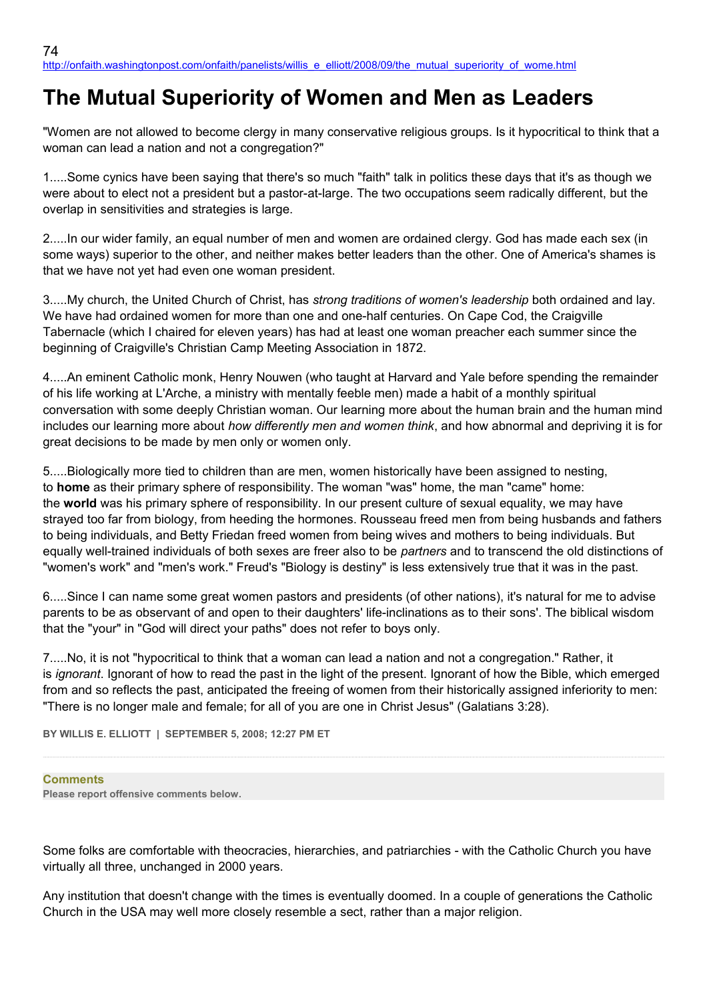# **The Mutual Superiority of Women and Men as Leaders**

"Women are not allowed to become clergy in many conservative religious groups. Is it hypocritical to think that a woman can lead a nation and not a congregation?"

1.....Some cynics have been saying that there's so much "faith" talk in politics these days that it's as though we were about to elect not a president but a pastor-at-large. The two occupations seem radically different, but the overlap in sensitivities and strategies is large.

2.....In our wider family, an equal number of men and women are ordained clergy. God has made each sex (in some ways) superior to the other, and neither makes better leaders than the other. One of America's shames is that we have not yet had even one woman president.

3.....My church, the United Church of Christ, has *strong traditions of women's leadership* both ordained and lay. We have had ordained women for more than one and one-half centuries. On Cape Cod, the Craigville Tabernacle (which I chaired for eleven years) has had at least one woman preacher each summer since the beginning of Craigville's Christian Camp Meeting Association in 1872.

4.....An eminent Catholic monk, Henry Nouwen (who taught at Harvard and Yale before spending the remainder of his life working at L'Arche, a ministry with mentally feeble men) made a habit of a monthly spiritual conversation with some deeply Christian woman. Our learning more about the human brain and the human mind includes our learning more about *how differently men and women think*, and how abnormal and depriving it is for great decisions to be made by men only or women only.

5.....Biologically more tied to children than are men, women historically have been assigned to nesting, to **home** as their primary sphere of responsibility. The woman "was" home, the man "came" home: the **world** was his primary sphere of responsibility. In our present culture of sexual equality, we may have strayed too far from biology, from heeding the hormones. Rousseau freed men from being husbands and fathers to being individuals, and Betty Friedan freed women from being wives and mothers to being individuals. But equally well-trained individuals of both sexes are freer also to be *partners* and to transcend the old distinctions of "women's work" and "men's work." Freud's "Biology is destiny" is less extensively true that it was in the past.

6.....Since I can name some great women pastors and presidents (of other nations), it's natural for me to advise parents to be as observant of and open to their daughters' life-inclinations as to their sons'. The biblical wisdom that the "your" in "God will direct your paths" does not refer to boys only.

7.....No, it is not "hypocritical to think that a woman can lead a nation and not a congregation." Rather, it is *ignorant*. Ignorant of how to read the past in the light of the present. Ignorant of how the Bible, which emerged from and so reflects the past, anticipated the freeing of women from their historically assigned inferiority to men: "There is no longer male and female; for all of you are one in Christ Jesus" (Galatians 3:28).

**BY WILLIS E. ELLIOTT | SEPTEMBER 5, 2008; 12:27 PM ET** 

### **Comments**

**Please report offensive comments below.**

Some folks are comfortable with theocracies, hierarchies, and patriarchies - with the Catholic Church you have virtually all three, unchanged in 2000 years.

Any institution that doesn't change with the times is eventually doomed. In a couple of generations the Catholic Church in the USA may well more closely resemble a sect, rather than a major religion.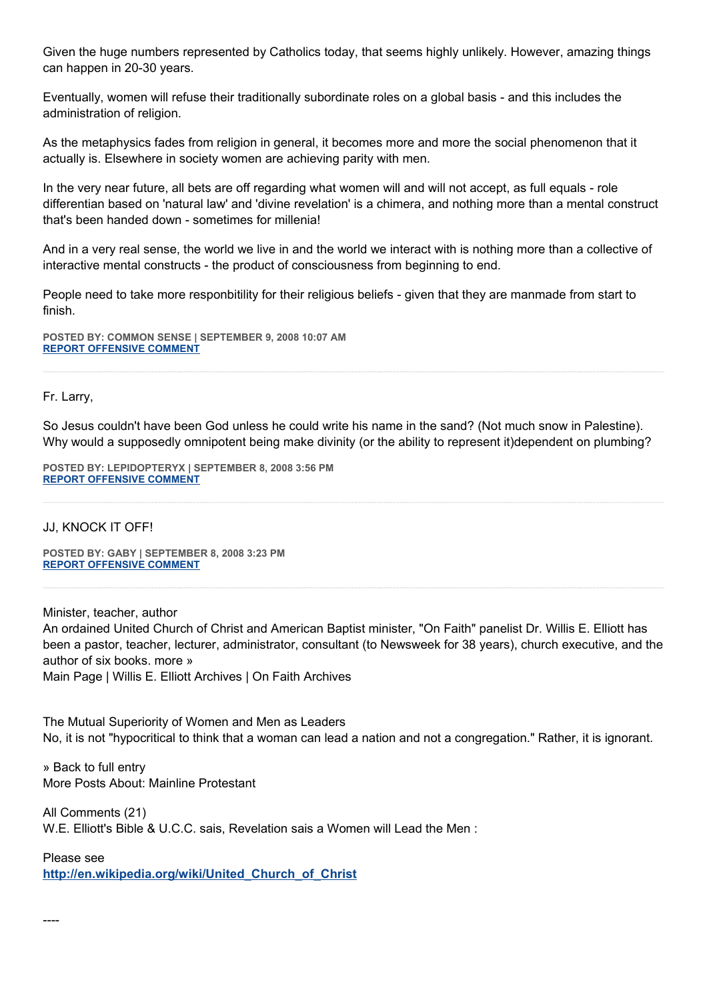Given the huge numbers represented by Catholics today, that seems highly unlikely. However, amazing things can happen in 20-30 years.

Eventually, women will refuse their traditionally subordinate roles on a global basis - and this includes the administration of religion.

As the metaphysics fades from religion in general, it becomes more and more the social phenomenon that it actually is. Elsewhere in society women are achieving parity with men.

In the very near future, all bets are off regarding what women will and will not accept, as full equals - role differentian based on 'natural law' and 'divine revelation' is a chimera, and nothing more than a mental construct that's been handed down - sometimes for millenia!

And in a very real sense, the world we live in and the world we interact with is nothing more than a collective of interactive mental constructs - the product of consciousness from beginning to end.

People need to take more responbitility for their religious beliefs - given that they are manmade from start to finish.

**POSTED BY: COMMON SENSE | SEPTEMBER 9, 2008 10:07 AM [REPORT OFFENSIVE COMMENT](mailto:blogs@washingtonpost.com?subject=On%20Faith%20Panelists%20Blog%20%20%7C%20%20common%20sense%20%20%7C%20%20The%20Mutual%20Superiority%20of%20Women%20and%20Men%20as%20Leaders%20%20%7C%20%204529087&body=%0D%0D%0D%0D%0D================%0D?__mode=view%26_type=comment%26id=4529087%26blog_id=618)**

#### Fr. Larry,

So Jesus couldn't have been God unless he could write his name in the sand? (Not much snow in Palestine). Why would a supposedly omnipotent being make divinity (or the ability to represent it)dependent on plumbing?

**POSTED BY: LEPIDOPTERYX | SEPTEMBER 8, 2008 3:56 PM [REPORT OFFENSIVE COMMENT](mailto:blogs@washingtonpost.com?subject=On%20Faith%20Panelists%20Blog%20%20%7C%20%20lepidopteryx%20%20%7C%20%20The%20Mutual%20Superiority%20of%20Women%20and%20Men%20as%20Leaders%20%20%7C%20%204528471&body=%0D%0D%0D%0D%0D================%0D?__mode=view%26_type=comment%26id=4528471%26blog_id=618)**

#### JJ, KNOCK IT OFF!

**POSTED BY: GABY | SEPTEMBER 8, 2008 3:23 PM [REPORT OFFENSIVE COMMENT](mailto:blogs@washingtonpost.com?subject=On%20Faith%20Panelists%20Blog%20%20%7C%20%20Gaby%20%20%7C%20%20The%20Mutual%20Superiority%20of%20Women%20and%20Men%20as%20Leaders%20%20%7C%20%204528441&body=%0D%0D%0D%0D%0D================%0D?__mode=view%26_type=comment%26id=4528441%26blog_id=618)**

Minister, teacher, author An ordained United Church of Christ and American Baptist minister, "On Faith" panelist Dr. Willis E. Elliott has been a pastor, teacher, lecturer, administrator, consultant (to Newsweek for 38 years), church executive, and the author of six books. more » Main Page | Willis E. Elliott Archives | On Faith Archives

The Mutual Superiority of Women and Men as Leaders No, it is not "hypocritical to think that a woman can lead a nation and not a congregation." Rather, it is ignorant.

» Back to full entry More Posts About: Mainline Protestant

All Comments (21) W.E. Elliott's Bible & U.C.C. sais, Revelation sais a Women will Lead the Men :

Please see

----

**[http://en.wikipedia.org/wiki/United\\_Church\\_of\\_Christ](http://en.wikipedia.org/wiki/United_Church_of_Christ)**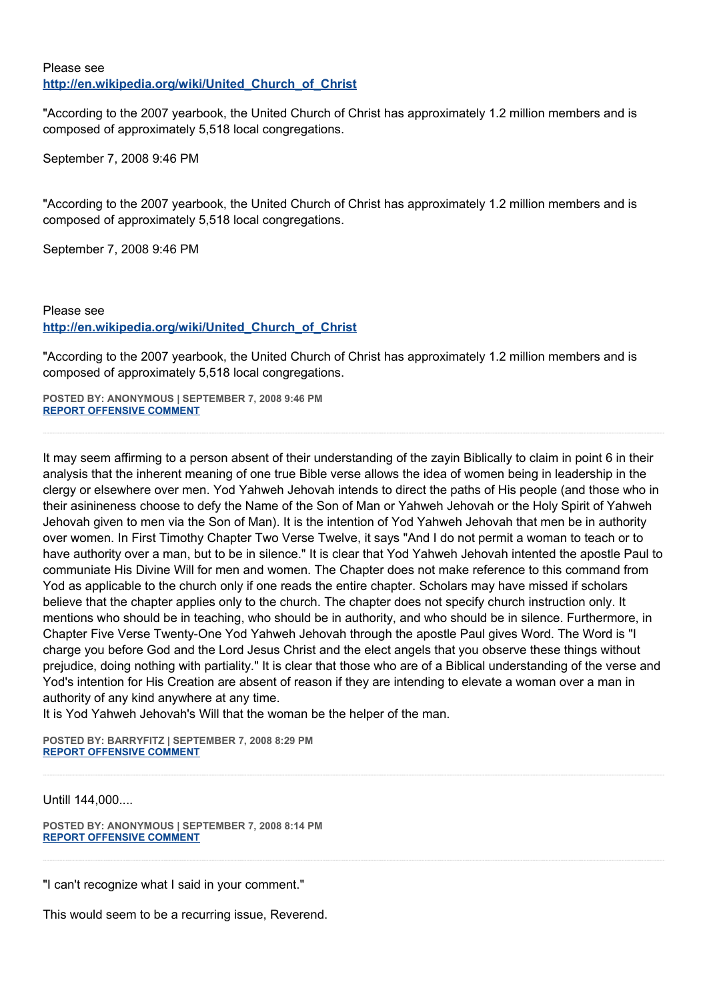## Please see **[http://en.wikipedia.org/wiki/United\\_Church\\_of\\_Christ](http://en.wikipedia.org/wiki/United_Church_of_Christ)**

"According to the 2007 yearbook, the United Church of Christ has approximately 1.2 million members and is composed of approximately 5,518 local congregations.

September 7, 2008 9:46 PM

"According to the 2007 yearbook, the United Church of Christ has approximately 1.2 million members and is composed of approximately 5,518 local congregations.

September 7, 2008 9:46 PM

# Please see **[http://en.wikipedia.org/wiki/United\\_Church\\_of\\_Christ](http://en.wikipedia.org/wiki/United_Church_of_Christ)**

"According to the 2007 yearbook, the United Church of Christ has approximately 1.2 million members and is composed of approximately 5,518 local congregations.

**POSTED BY: ANONYMOUS | SEPTEMBER 7, 2008 9:46 PM [REPORT OFFENSIVE COMMENT](mailto:blogs@washingtonpost.com?subject=On%20Faith%20Panelists%20Blog%20%20%7C%20%20Anonymous%20%20%7C%20%20The%20Mutual%20Superiority%20of%20Women%20and%20Men%20as%20Leaders%20%20%7C%20%204527772&body=%0D%0D%0D%0D%0D================%0D?__mode=view%26_type=comment%26id=4527772%26blog_id=618)**

It may seem affirming to a person absent of their understanding of the zayin Biblically to claim in point 6 in their analysis that the inherent meaning of one true Bible verse allows the idea of women being in leadership in the clergy or elsewhere over men. Yod Yahweh Jehovah intends to direct the paths of His people (and those who in their asinineness choose to defy the Name of the Son of Man or Yahweh Jehovah or the Holy Spirit of Yahweh Jehovah given to men via the Son of Man). It is the intention of Yod Yahweh Jehovah that men be in authority over women. In First Timothy Chapter Two Verse Twelve, it says "And I do not permit a woman to teach or to have authority over a man, but to be in silence." It is clear that Yod Yahweh Jehovah intented the apostle Paul to communiate His Divine Will for men and women. The Chapter does not make reference to this command from Yod as applicable to the church only if one reads the entire chapter. Scholars may have missed if scholars believe that the chapter applies only to the church. The chapter does not specify church instruction only. It mentions who should be in teaching, who should be in authority, and who should be in silence. Furthermore, in Chapter Five Verse Twenty-One Yod Yahweh Jehovah through the apostle Paul gives Word. The Word is "I charge you before God and the Lord Jesus Christ and the elect angels that you observe these things without prejudice, doing nothing with partiality." It is clear that those who are of a Biblical understanding of the verse and Yod's intention for His Creation are absent of reason if they are intending to elevate a woman over a man in authority of any kind anywhere at any time.

It is Yod Yahweh Jehovah's Will that the woman be the helper of the man.

**POSTED BY: BARRYFITZ | SEPTEMBER 7, 2008 8:29 PM [REPORT OFFENSIVE COMMENT](mailto:blogs@washingtonpost.com?subject=On%20Faith%20Panelists%20Blog%20%20%7C%20%20BarryFitz%20%20%7C%20%20The%20Mutual%20Superiority%20of%20Women%20and%20Men%20as%20Leaders%20%20%7C%20%204527726&body=%0D%0D%0D%0D%0D================%0D?__mode=view%26_type=comment%26id=4527726%26blog_id=618)**

Untill 144,000....

**POSTED BY: ANONYMOUS | SEPTEMBER 7, 2008 8:14 PM [REPORT OFFENSIVE COMMENT](mailto:blogs@washingtonpost.com?subject=On%20Faith%20Panelists%20Blog%20%20%7C%20%20Anonymous%20%20%7C%20%20The%20Mutual%20Superiority%20of%20Women%20and%20Men%20as%20Leaders%20%20%7C%20%204527718&body=%0D%0D%0D%0D%0D================%0D?__mode=view%26_type=comment%26id=4527718%26blog_id=618)**

"I can't recognize what I said in your comment."

This would seem to be a recurring issue, Reverend.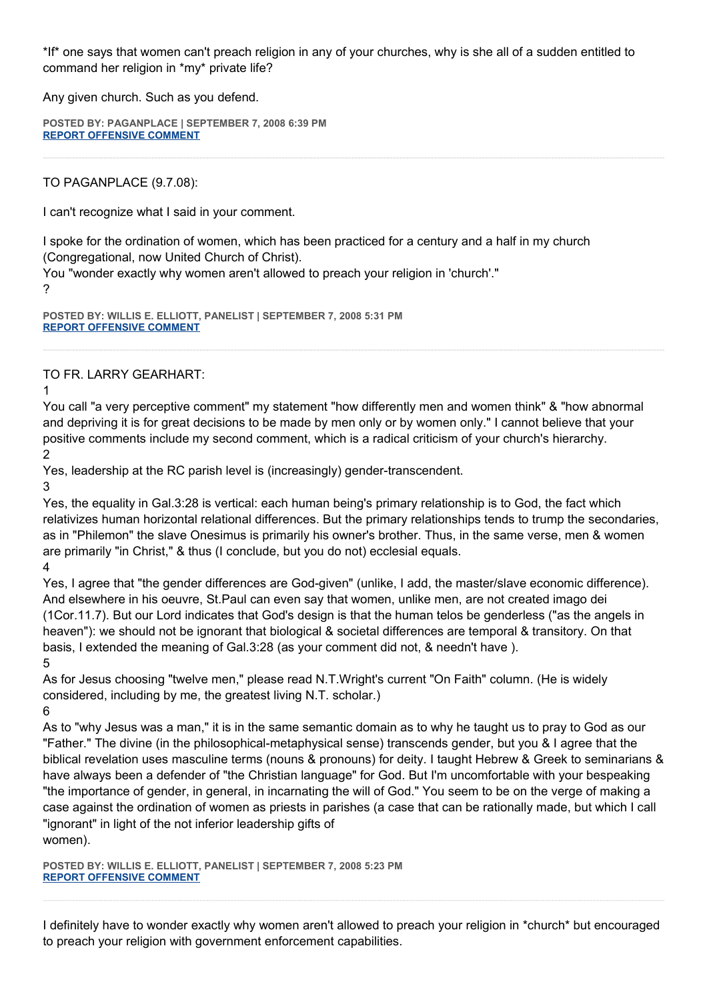\*If\* one says that women can't preach religion in any of your churches, why is she all of a sudden entitled to command her religion in \*my\* private life?

Any given church. Such as you defend.

**POSTED BY: PAGANPLACE | SEPTEMBER 7, 2008 6:39 PM [REPORT OFFENSIVE COMMENT](mailto:blogs@washingtonpost.com?subject=On%20Faith%20Panelists%20Blog%20%20%7C%20%20Paganplace%20%20%7C%20%20The%20Mutual%20Superiority%20of%20Women%20and%20Men%20as%20Leaders%20%20%7C%20%204527664&body=%0D%0D%0D%0D%0D================%0D?__mode=view%26_type=comment%26id=4527664%26blog_id=618)**

TO PAGANPLACE (9.7.08):

I can't recognize what I said in your comment.

I spoke for the ordination of women, which has been practiced for a century and a half in my church (Congregational, now United Church of Christ).

You "wonder exactly why women aren't allowed to preach your religion in 'church'." ?

**POSTED BY: WILLIS E. ELLIOTT, PANELIST | SEPTEMBER 7, 2008 5:31 PM [REPORT OFFENSIVE COMMENT](mailto:blogs@washingtonpost.com?subject=On%20Faith%20Panelists%20Blog%20%20%7C%20%20Willis%20E.%20Elliott,%20panelist%20%20%7C%20%20The%20Mutual%20Superiority%20of%20Women%20and%20Men%20as%20Leaders%20%20%7C%20%204527610&body=%0D%0D%0D%0D%0D================%0D?__mode=view%26_type=comment%26id=4527610%26blog_id=618)**

TO FR. LARRY GEARHART:

1

You call "a very perceptive comment" my statement "how differently men and women think" & "how abnormal and depriving it is for great decisions to be made by men only or by women only." I cannot believe that your positive comments include my second comment, which is a radical criticism of your church's hierarchy.

2

Yes, leadership at the RC parish level is (increasingly) gender-transcendent.

3

Yes, the equality in Gal.3:28 is vertical: each human being's primary relationship is to God, the fact which relativizes human horizontal relational differences. But the primary relationships tends to trump the secondaries, as in "Philemon" the slave Onesimus is primarily his owner's brother. Thus, in the same verse, men & women are primarily "in Christ," & thus (I conclude, but you do not) ecclesial equals.

4

Yes, I agree that "the gender differences are God-given" (unlike, I add, the master/slave economic difference). And elsewhere in his oeuvre, St.Paul can even say that women, unlike men, are not created imago dei (1Cor.11.7). But our Lord indicates that God's design is that the human telos be genderless ("as the angels in heaven"): we should not be ignorant that biological & societal differences are temporal & transitory. On that basis, I extended the meaning of Gal.3:28 (as your comment did not, & needn't have ). 5

As for Jesus choosing "twelve men," please read N.T.Wright's current "On Faith" column. (He is widely considered, including by me, the greatest living N.T. scholar.)

6

As to "why Jesus was a man," it is in the same semantic domain as to why he taught us to pray to God as our "Father." The divine (in the philosophical-metaphysical sense) transcends gender, but you & I agree that the biblical revelation uses masculine terms (nouns & pronouns) for deity. I taught Hebrew & Greek to seminarians & have always been a defender of "the Christian language" for God. But I'm uncomfortable with your bespeaking "the importance of gender, in general, in incarnating the will of God." You seem to be on the verge of making a case against the ordination of women as priests in parishes (a case that can be rationally made, but which I call "ignorant" in light of the not inferior leadership gifts of women).

**POSTED BY: WILLIS E. ELLIOTT, PANELIST | SEPTEMBER 7, 2008 5:23 PM [REPORT OFFENSIVE COMMENT](mailto:blogs@washingtonpost.com?subject=On%20Faith%20Panelists%20Blog%20%20%7C%20%20Willis%20E.%20Elliott,%20panelist%20%20%7C%20%20The%20Mutual%20Superiority%20of%20Women%20and%20Men%20as%20Leaders%20%20%7C%20%204527597&body=%0D%0D%0D%0D%0D================%0D?__mode=view%26_type=comment%26id=4527597%26blog_id=618)**

I definitely have to wonder exactly why women aren't allowed to preach your religion in \*church\* but encouraged to preach your religion with government enforcement capabilities.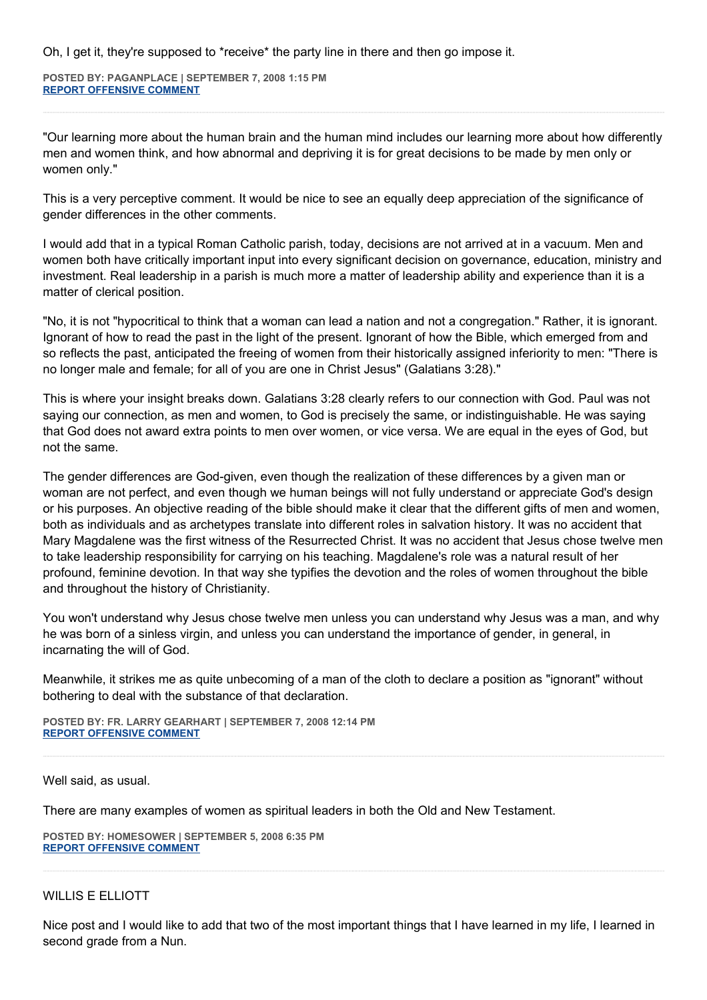Oh, I get it, they're supposed to \*receive\* the party line in there and then go impose it.

**POSTED BY: PAGANPLACE | SEPTEMBER 7, 2008 1:15 PM [REPORT OFFENSIVE COMMENT](mailto:blogs@washingtonpost.com?subject=On%20Faith%20Panelists%20Blog%20%20%7C%20%20Paganplace%20%20%7C%20%20The%20Mutual%20Superiority%20of%20Women%20and%20Men%20as%20Leaders%20%20%7C%20%204527443&body=%0D%0D%0D%0D%0D================%0D?__mode=view%26_type=comment%26id=4527443%26blog_id=618)**

"Our learning more about the human brain and the human mind includes our learning more about how differently men and women think, and how abnormal and depriving it is for great decisions to be made by men only or women only."

This is a very perceptive comment. It would be nice to see an equally deep appreciation of the significance of gender differences in the other comments.

I would add that in a typical Roman Catholic parish, today, decisions are not arrived at in a vacuum. Men and women both have critically important input into every significant decision on governance, education, ministry and investment. Real leadership in a parish is much more a matter of leadership ability and experience than it is a matter of clerical position.

"No, it is not "hypocritical to think that a woman can lead a nation and not a congregation." Rather, it is ignorant. Ignorant of how to read the past in the light of the present. Ignorant of how the Bible, which emerged from and so reflects the past, anticipated the freeing of women from their historically assigned inferiority to men: "There is no longer male and female; for all of you are one in Christ Jesus" (Galatians 3:28)."

This is where your insight breaks down. Galatians 3:28 clearly refers to our connection with God. Paul was not saying our connection, as men and women, to God is precisely the same, or indistinguishable. He was saying that God does not award extra points to men over women, or vice versa. We are equal in the eyes of God, but not the same.

The gender differences are God-given, even though the realization of these differences by a given man or woman are not perfect, and even though we human beings will not fully understand or appreciate God's design or his purposes. An objective reading of the bible should make it clear that the different gifts of men and women, both as individuals and as archetypes translate into different roles in salvation history. It was no accident that Mary Magdalene was the first witness of the Resurrected Christ. It was no accident that Jesus chose twelve men to take leadership responsibility for carrying on his teaching. Magdalene's role was a natural result of her profound, feminine devotion. In that way she typifies the devotion and the roles of women throughout the bible and throughout the history of Christianity.

You won't understand why Jesus chose twelve men unless you can understand why Jesus was a man, and why he was born of a sinless virgin, and unless you can understand the importance of gender, in general, in incarnating the will of God.

Meanwhile, it strikes me as quite unbecoming of a man of the cloth to declare a position as "ignorant" without bothering to deal with the substance of that declaration.

**POSTED BY: FR. LARRY GEARHART | SEPTEMBER 7, 2008 12:14 PM [REPORT OFFENSIVE COMMENT](mailto:blogs@washingtonpost.com?subject=On%20Faith%20Panelists%20Blog%20%20%7C%20%20Fr.%20Larry%20Gearhart%20%20%7C%20%20The%20Mutual%20Superiority%20of%20Women%20and%20Men%20as%20Leaders%20%20%7C%20%204527410&body=%0D%0D%0D%0D%0D================%0D?__mode=view%26_type=comment%26id=4527410%26blog_id=618)**

Well said, as usual.

There are many examples of women as spiritual leaders in both the Old and New Testament.

**POSTED BY: HOMESOWER | SEPTEMBER 5, 2008 6:35 PM [REPORT OFFENSIVE COMMENT](mailto:blogs@washingtonpost.com?subject=On%20Faith%20Panelists%20Blog%20%20%7C%20%20homesower%20%20%7C%20%20The%20Mutual%20Superiority%20of%20Women%20and%20Men%20as%20Leaders%20%20%7C%20%204526436&body=%0D%0D%0D%0D%0D================%0D?__mode=view%26_type=comment%26id=4526436%26blog_id=618)**

#### WILLIS E ELLIOTT

Nice post and I would like to add that two of the most important things that I have learned in my life, I learned in second grade from a Nun.